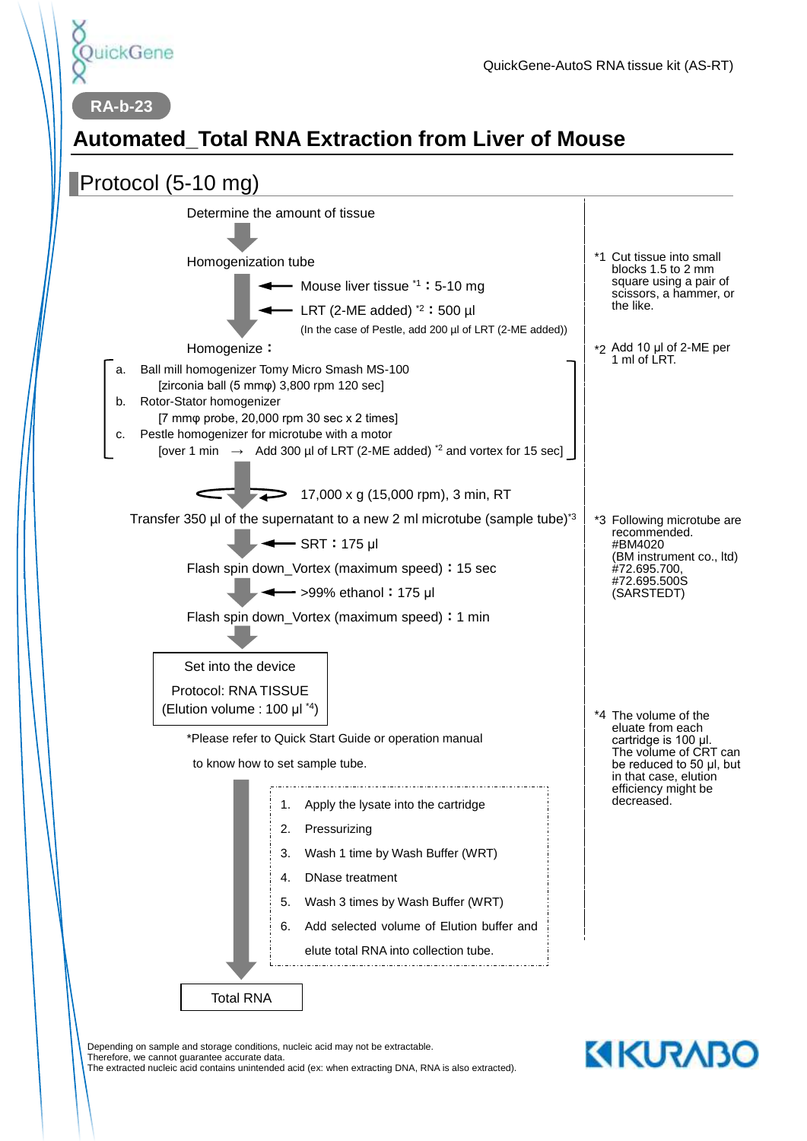

**RA-b-23**

# **Automated\_Total RNA Extraction from Liver of Mouse**



Depending on sample and storage conditions, nucleic acid may not be extractable. Therefore, we cannot guarantee accurate data. The extracted nucleic acid contains unintended acid (ex: when extracting DNA, RNA is also extracted).

# **KIKURABO**